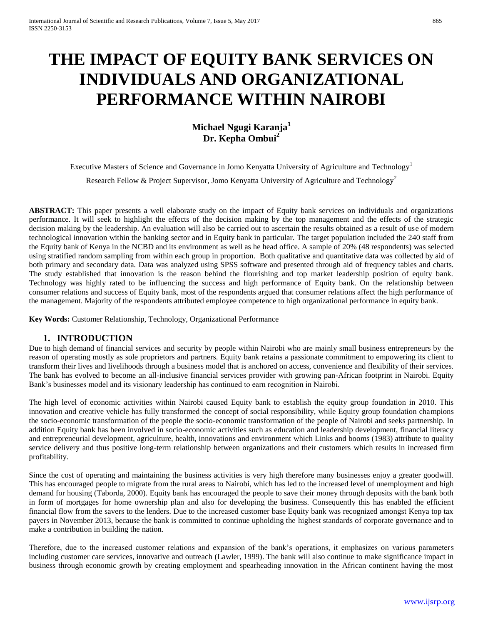# **THE IMPACT OF EQUITY BANK SERVICES ON INDIVIDUALS AND ORGANIZATIONAL PERFORMANCE WITHIN NAIROBI**

**Michael Ngugi Karanja<sup>1</sup> Dr. Kepha Ombui<sup>2</sup>**

Executive Masters of Science and Governance in Jomo Kenyatta University of Agriculture and Technology<sup>1</sup>

Research Fellow & Project Supervisor, Jomo Kenyatta University of Agriculture and Technology<sup>2</sup>

**ABSTRACT:** This paper presents a well elaborate study on the impact of Equity bank services on individuals and organizations performance. It will seek to highlight the effects of the decision making by the top management and the effects of the strategic decision making by the leadership. An evaluation will also be carried out to ascertain the results obtained as a result of use of modern technological innovation within the banking sector and in Equity bank in particular. The target population included the 240 staff from the Equity bank of Kenya in the NCBD and its environment as well as he head office. A sample of 20% (48 respondents) was selected using stratified random sampling from within each group in proportion. Both qualitative and quantitative data was collected by aid of both primary and secondary data. Data was analyzed using SPSS software and presented through aid of frequency tables and charts. The study established that innovation is the reason behind the flourishing and top market leadership position of equity bank. Technology was highly rated to be influencing the success and high performance of Equity bank. On the relationship between consumer relations and success of Equity bank, most of the respondents argued that consumer relations affect the high performance of the management. Majority of the respondents attributed employee competence to high organizational performance in equity bank.

**Key Words:** Customer Relationship, Technology, Organizational Performance

## **1. INTRODUCTION**

Due to high demand of financial services and security by people within Nairobi who are mainly small business entrepreneurs by the reason of operating mostly as sole proprietors and partners. Equity bank retains a passionate commitment to empowering its client to transform their lives and livelihoods through a business model that is anchored on access, convenience and flexibility of their services. The bank has evolved to become an all-inclusive financial services provider with growing pan-African footprint in Nairobi. Equity Bank's businesses model and its visionary leadership has continued to earn recognition in Nairobi.

The high level of economic activities within Nairobi caused Equity bank to establish the equity group foundation in 2010. This innovation and creative vehicle has fully transformed the concept of social responsibility, while Equity group foundation champions the socio-economic transformation of the people the socio-economic transformation of the people of Nairobi and seeks partnership. In addition Equity bank has been involved in socio-economic activities such as education and leadership development, financial literacy and entrepreneurial development, agriculture, health, innovations and environment which Links and booms (1983) attribute to quality service delivery and thus positive long-term relationship between organizations and their customers which results in increased firm profitability.

Since the cost of operating and maintaining the business activities is very high therefore many businesses enjoy a greater goodwill. This has encouraged people to migrate from the rural areas to Nairobi, which has led to the increased level of unemployment and high demand for housing (Taborda, 2000). Equity bank has encouraged the people to save their money through deposits with the bank both in form of mortgages for home ownership plan and also for developing the business. Consequently this has enabled the efficient financial flow from the savers to the lenders. Due to the increased customer base Equity bank was recognized amongst Kenya top tax payers in November 2013, because the bank is committed to continue upholding the highest standards of corporate governance and to make a contribution in building the nation.

Therefore, due to the increased customer relations and expansion of the bank's operations, it emphasizes on various parameters including customer care services, innovative and outreach (Lawler, 1999). The bank will also continue to make significance impact in business through economic growth by creating employment and spearheading innovation in the African continent having the most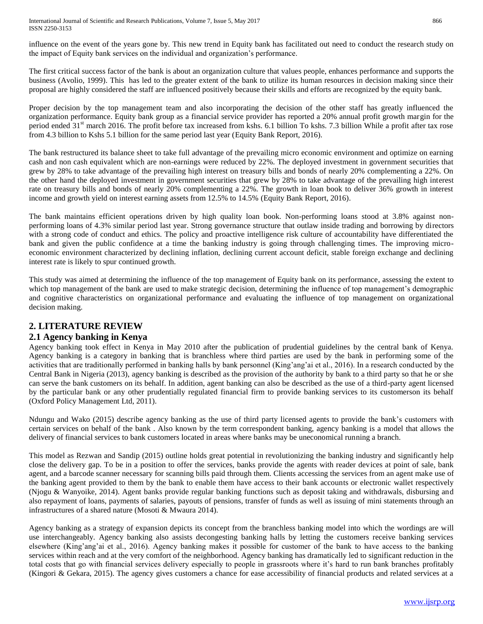influence on the event of the years gone by. This new trend in Equity bank has facilitated out need to conduct the research study on the impact of Equity bank services on the individual and organization's performance.

The first critical success factor of the bank is about an organization culture that values people, enhances performance and supports the business (Avolio, 1999). This has led to the greater extent of the bank to utilize its human resources in decision making since their proposal are highly considered the staff are influenced positively because their skills and efforts are recognized by the equity bank.

Proper decision by the top management team and also incorporating the decision of the other staff has greatly influenced the organization performance. Equity bank group as a financial service provider has reported a 20% annual profit growth margin for the period ended 31<sup>st</sup> march 2016. The profit before tax increased from kshs. 6.1 billion To kshs. 7.3 billion While a profit after tax rose from 4.3 billion to Kshs 5.1 billion for the same period last year (Equity Bank Report, 2016).

The bank restructured its balance sheet to take full advantage of the prevailing micro economic environment and optimize on earning cash and non cash equivalent which are non-earnings were reduced by 22%. The deployed investment in government securities that grew by 28% to take advantage of the prevailing high interest on treasury bills and bonds of nearly 20% complementing a 22%. On the other hand the deployed investment in government securities that grew by 28% to take advantage of the prevailing high interest rate on treasury bills and bonds of nearly 20% complementing a 22%. The growth in loan book to deliver 36% growth in interest income and growth yield on interest earning assets from 12.5% to 14.5% (Equity Bank Report, 2016).

The bank maintains efficient operations driven by high quality loan book. Non-performing loans stood at 3.8% against nonperforming loans of 4.3% similar period last year. Strong governance structure that outlaw inside trading and borrowing by directors with a strong code of conduct and ethics. The policy and proactive intelligence risk culture of accountability have differentiated the bank and given the public confidence at a time the banking industry is going through challenging times. The improving microeconomic environment characterized by declining inflation, declining current account deficit, stable foreign exchange and declining interest rate is likely to spur continued growth.

This study was aimed at determining the influence of the top management of Equity bank on its performance, assessing the extent to which top management of the bank are used to make strategic decision, determining the influence of top management's demographic and cognitive characteristics on organizational performance and evaluating the influence of top management on organizational decision making.

# **2. LITERATURE REVIEW**

## **2.1 Agency banking in Kenya**

Agency banking took effect in Kenya in May 2010 after the publication of prudential guidelines by the central bank of Kenya. Agency banking is a category in banking that is branchless where third parties are used by the bank in performing some of the activities that are traditionally performed in banking halls by bank personnel (King'ang'ai et al., 2016). In a research conducted by the Central Bank in Nigeria (2013), agency banking is described as the provision of the authority by bank to a third party so that he or she can serve the bank customers on its behalf. In addition, agent banking can also be described as the use of a third-party agent licensed by the particular bank or any other prudentially regulated financial firm to provide banking services to its customerson its behalf (Oxford Policy Management Ltd, 2011).

Ndungu and Wako (2015) describe agency banking as the use of third party licensed agents to provide the bank's customers with certain services on behalf of the bank . Also known by the term correspondent banking, agency banking is a model that allows the delivery of financial services to bank customers located in areas where banks may be uneconomical running a branch.

This model as Rezwan and Sandip (2015) outline holds great potential in revolutionizing the banking industry and significantly help close the delivery gap. To be in a position to offer the services, banks provide the agents with reader devices at point of sale, bank agent, and a barcode scanner necessary for scanning bills paid through them. Clients accessing the services from an agent make use of the banking agent provided to them by the bank to enable them have access to their bank accounts or electronic wallet respectively (Njogu & Wanyoike, 2014). Agent banks provide regular banking functions such as deposit taking and withdrawals, disbursing and also repayment of loans, payments of salaries, payouts of pensions, transfer of funds as well as issuing of mini statements through an infrastructures of a shared nature (Mosoti & Mwaura 2014).

Agency banking as a strategy of expansion depicts its concept from the branchless banking model into which the wordings are will use interchangeably. Agency banking also assists decongesting banking halls by letting the customers receive banking services elsewhere (King'ang'ai et al., 2016). Agency banking makes it possible for customer of the bank to have access to the banking services within reach and at the very comfort of the neighborhood. Agency banking has dramatically led to significant reduction in the total costs that go with financial services delivery especially to people in grassroots where it's hard to run bank branches profitably (Kingori & Gekara, 2015). The agency gives customers a chance for ease accessibility of financial products and related services at a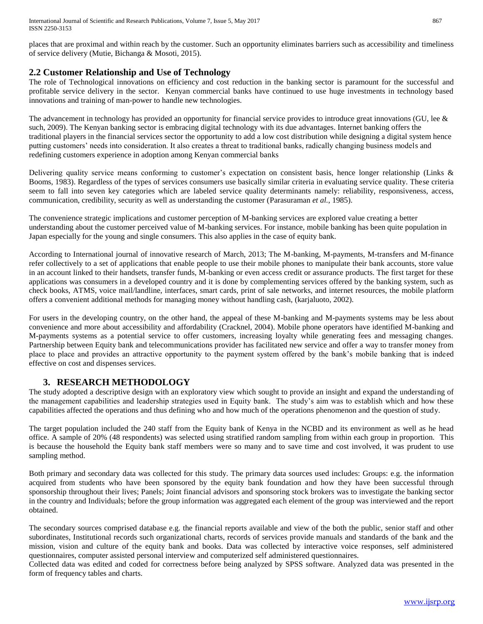places that are proximal and within reach by the customer. Such an opportunity eliminates barriers such as accessibility and timeliness of service delivery (Mutie, Bichanga & Mosoti, 2015).

## **2.2 Customer Relationship and Use of Technology**

The role of Technological innovations on efficiency and cost reduction in the banking sector is paramount for the successful and profitable service delivery in the sector. Kenyan commercial banks have continued to use huge investments in technology based innovations and training of man-power to handle new technologies.

The advancement in technology has provided an opportunity for financial service provides to introduce great innovations (GU, lee  $\&$ such, 2009). The Kenyan banking sector is embracing digital technology with its due advantages. Internet banking offers the traditional players in the financial services sector the opportunity to add a low cost distribution while designing a digital system hence putting customers' needs into consideration. It also creates a threat to traditional banks, radically changing business models and redefining customers experience in adoption among Kenyan commercial banks

Delivering quality service means conforming to customer's expectation on consistent basis, hence longer relationship (Links & Booms, 1983). Regardless of the types of services consumers use basically similar criteria in evaluating service quality. These criteria seem to fall into seven key categories which are labeled service quality determinants namely: reliability, responsiveness, access, communication, credibility, security as well as understanding the customer (Parasuraman *et al.*, 1985).

The convenience strategic implications and customer perception of M-banking services are explored value creating a better understanding about the customer perceived value of M-banking services. For instance, mobile banking has been quite population in Japan especially for the young and single consumers. This also applies in the case of equity bank.

According to International journal of innovative research of March, 2013; The M-banking, M-payments, M-transfers and M-finance refer collectively to a set of applications that enable people to use their mobile phones to manipulate their bank accounts, store value in an account linked to their handsets, transfer funds, M-banking or even access credit or assurance products. The first target for these applications was consumers in a developed country and it is done by complementing services offered by the banking system, such as check books, ATMS, voice mail/landline, interfaces, smart cards, print of sale networks, and internet resources, the mobile platform offers a convenient additional methods for managing money without handling cash, (karjaluoto, 2002).

For users in the developing country, on the other hand, the appeal of these M-banking and M-payments systems may be less about convenience and more about accessibility and affordability (Cracknel, 2004). Mobile phone operators have identified M-banking and M-payments systems as a potential service to offer customers, increasing loyalty while generating fees and messaging changes. Partnership between Equity bank and telecommunications provider has facilitated new service and offer a way to transfer money from place to place and provides an attractive opportunity to the payment system offered by the bank's mobile banking that is indeed effective on cost and dispenses services.

## **3. RESEARCH METHODOLOGY**

The study adopted a descriptive design with an exploratory view which sought to provide an insight and expand the understanding of the management capabilities and leadership strategies used in Equity bank. The study's aim was to establish which and how these capabilities affected the operations and thus defining who and how much of the operations phenomenon and the question of study.

The target population included the 240 staff from the Equity bank of Kenya in the NCBD and its environment as well as he head office. A sample of 20% (48 respondents) was selected using stratified random sampling from within each group in proportion. This is because the household the Equity bank staff members were so many and to save time and cost involved, it was prudent to use sampling method.

Both primary and secondary data was collected for this study. The primary data sources used includes: Groups: e.g. the information acquired from students who have been sponsored by the equity bank foundation and how they have been successful through sponsorship throughout their lives; Panels; Joint financial advisors and sponsoring stock brokers was to investigate the banking sector in the country and Individuals; before the group information was aggregated each element of the group was interviewed and the report obtained.

The secondary sources comprised database e.g. the financial reports available and view of the both the public, senior staff and other subordinates, Institutional records such organizational charts, records of services provide manuals and standards of the bank and the mission, vision and culture of the equity bank and books. Data was collected by interactive voice responses, self administered questionnaires, computer assisted personal interview and computerized self administered questionnaires.

Collected data was edited and coded for correctness before being analyzed by SPSS software. Analyzed data was presented in the form of frequency tables and charts.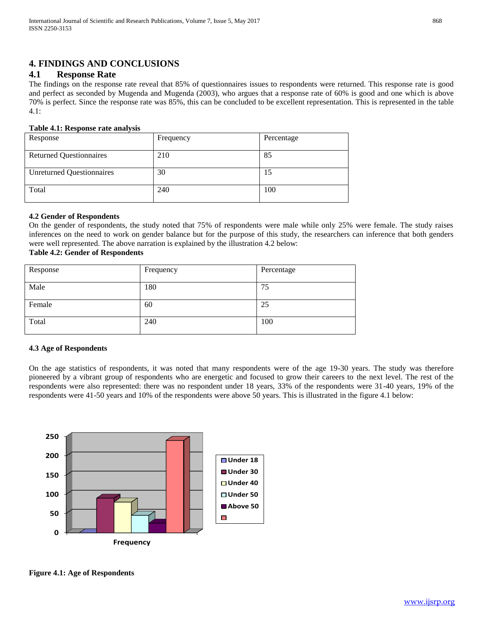## **4. FINDINGS AND CONCLUSIONS**

### **4.1 Response Rate**

The findings on the response rate reveal that 85% of questionnaires issues to respondents were returned. This response rate is good and perfect as seconded by Mugenda and Mugenda (2003), who argues that a response rate of 60% is good and one which is above 70% is perfect. Since the response rate was 85%, this can be concluded to be excellent representation. This is represented in the table 4.1:

#### **Table 4.1: Response rate analysis**

| Response                         | Frequency | Percentage |
|----------------------------------|-----------|------------|
| <b>Returned Questionnaires</b>   | 210       | 85         |
| <b>Unreturned Questionnaires</b> | 30        | 15         |
| Total                            | 240       | 100        |

#### **4.2 Gender of Respondents**

On the gender of respondents, the study noted that 75% of respondents were male while only 25% were female. The study raises inferences on the need to work on gender balance but for the purpose of this study, the researchers can inference that both genders were well represented. The above narration is explained by the illustration 4.2 below:

## **Table 4.2: Gender of Respondents**

| Response | Frequency | Percentage |
|----------|-----------|------------|
| Male     | 180       | 75         |
| Female   | 60        | 25         |
| Total    | 240       | 100        |

#### **4.3 Age of Respondents**

On the age statistics of respondents, it was noted that many respondents were of the age 19-30 years. The study was therefore pioneered by a vibrant group of respondents who are energetic and focused to grow their careers to the next level. The rest of the respondents were also represented: there was no respondent under 18 years, 33% of the respondents were 31-40 years, 19% of the respondents were 41-50 years and 10% of the respondents were above 50 years. This is illustrated in the figure 4.1 below:



**Figure 4.1: Age of Respondents**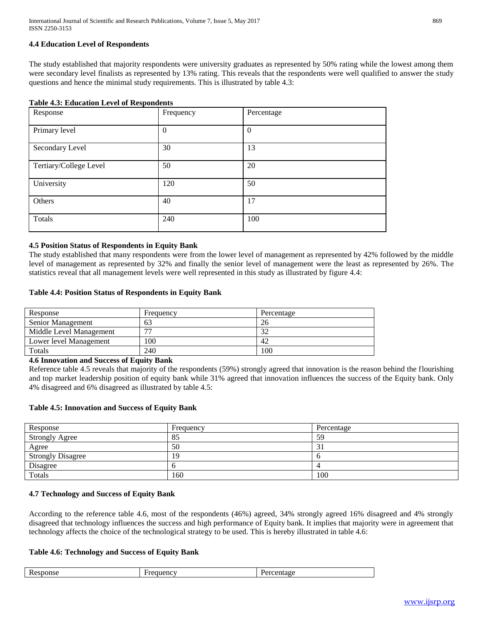#### **4.4 Education Level of Respondents**

The study established that majority respondents were university graduates as represented by 50% rating while the lowest among them were secondary level finalists as represented by 13% rating. This reveals that the respondents were well qualified to answer the study questions and hence the minimal study requirements. This is illustrated by table 4.3:

| Response               | Frequency | Percentage   |
|------------------------|-----------|--------------|
| Primary level          | $\theta$  | $\mathbf{0}$ |
| Secondary Level        | 30        | 13           |
| Tertiary/College Level | 50        | 20           |
| University             | 120       | 50           |
| Others                 | 40        | 17           |
| Totals                 | 240       | 100          |

#### **4.5 Position Status of Respondents in Equity Bank**

The study established that many respondents were from the lower level of management as represented by 42% followed by the middle level of management as represented by 32% and finally the senior level of management were the least as represented by 26%. The statistics reveal that all management levels were well represented in this study as illustrated by figure 4.4:

#### **Table 4.4: Position Status of Respondents in Equity Bank**

| Response                 | <b>Frequency</b>         | Percentage |
|--------------------------|--------------------------|------------|
| <b>Senior Management</b> | 63                       | 26         |
| Middle Level Management  | $\overline{\phantom{a}}$ |            |
| Lower level Management   | 100                      | 42         |
| Totals                   | 240                      | 100        |

**4.6 Innovation and Success of Equity Bank**

Reference table 4.5 reveals that majority of the respondents (59%) strongly agreed that innovation is the reason behind the flourishing and top market leadership position of equity bank while 31% agreed that innovation influences the success of the Equity bank. Only 4% disagreed and 6% disagreed as illustrated by table 4.5:

#### **Table 4.5: Innovation and Success of Equity Bank**

| Response                 | Frequency | Percentage |
|--------------------------|-----------|------------|
| <b>Strongly Agree</b>    | 83        | ςο<br>J    |
| Agree                    | 50        | ر ر        |
| <b>Strongly Disagree</b> | <u>y</u>  |            |
| Disagree                 |           |            |
| Totals                   | 160       | 100        |

#### **4.7 Technology and Success of Equity Bank**

According to the reference table 4.6, most of the respondents (46%) agreed, 34% strongly agreed 16% disagreed and 4% strongly disagreed that technology influences the success and high performance of Equity bank. It implies that majority were in agreement that technology affects the choice of the technological strategy to be used. This is hereby illustrated in table 4.6:

#### **Table 4.6: Technology and Success of Equity Bank**

| $\mathbf{D}$<br>10000<br>.100 <sub>0</sub><br>≘sponse<br>uenc<br>KC. |
|----------------------------------------------------------------------|
|----------------------------------------------------------------------|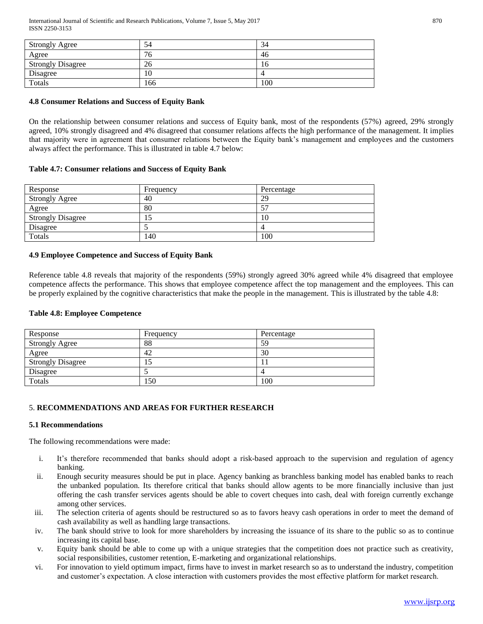International Journal of Scientific and Research Publications, Volume 7, Issue 5, May 2017 870 ISSN 2250-3153

| <b>Strongly Agree</b>    | 54  | 34  |
|--------------------------|-----|-----|
| Agree                    | 16  | 46  |
| <b>Strongly Disagree</b> | 26  | 10  |
| Disagree                 | 10  |     |
| Totals                   | 166 | 100 |

#### **4.8 Consumer Relations and Success of Equity Bank**

On the relationship between consumer relations and success of Equity bank, most of the respondents (57%) agreed, 29% strongly agreed, 10% strongly disagreed and 4% disagreed that consumer relations affects the high performance of the management. It implies that majority were in agreement that consumer relations between the Equity bank's management and employees and the customers always affect the performance. This is illustrated in table 4.7 below:

#### **Table 4.7: Consumer relations and Success of Equity Bank**

| Response                 | Frequency | Percentage |
|--------------------------|-----------|------------|
| <b>Strongly Agree</b>    | 40        | 29         |
| Agree                    | 80        |            |
| <b>Strongly Disagree</b> | IJ        | 10         |
| Disagree                 |           | 4          |
| Totals                   | 140       | 100        |

#### **4.9 Employee Competence and Success of Equity Bank**

Reference table 4.8 reveals that majority of the respondents (59%) strongly agreed 30% agreed while 4% disagreed that employee competence affects the performance. This shows that employee competence affect the top management and the employees. This can be properly explained by the cognitive characteristics that make the people in the management. This is illustrated by the table 4.8:

#### **Table 4.8: Employee Competence**

| Response                 | Frequency | Percentage |
|--------------------------|-----------|------------|
| <b>Strongly Agree</b>    | 88        | 59         |
| Agree                    | 42        | 30         |
| <b>Strongly Disagree</b> | L.        |            |
| Disagree                 |           |            |
| Totals                   | 150       | 100        |

#### 5. **RECOMMENDATIONS AND AREAS FOR FURTHER RESEARCH**

#### **5.1 Recommendations**

The following recommendations were made:

- i. It's therefore recommended that banks should adopt a risk-based approach to the supervision and regulation of agency banking.
- ii. Enough security measures should be put in place. Agency banking as branchless banking model has enabled banks to reach the unbanked population. Its therefore critical that banks should allow agents to be more financially inclusive than just offering the cash transfer services agents should be able to covert cheques into cash, deal with foreign currently exchange among other services.
- iii. The selection criteria of agents should be restructured so as to favors heavy cash operations in order to meet the demand of cash availability as well as handling large transactions.
- iv. The bank should strive to look for more shareholders by increasing the issuance of its share to the public so as to continue increasing its capital base.
- v. Equity bank should be able to come up with a unique strategies that the competition does not practice such as creativity, social responsibilities, customer retention, E-marketing and organizational relationships.
- vi. For innovation to yield optimum impact, firms have to invest in market research so as to understand the industry, competition and customer's expectation. A close interaction with customers provides the most effective platform for market research.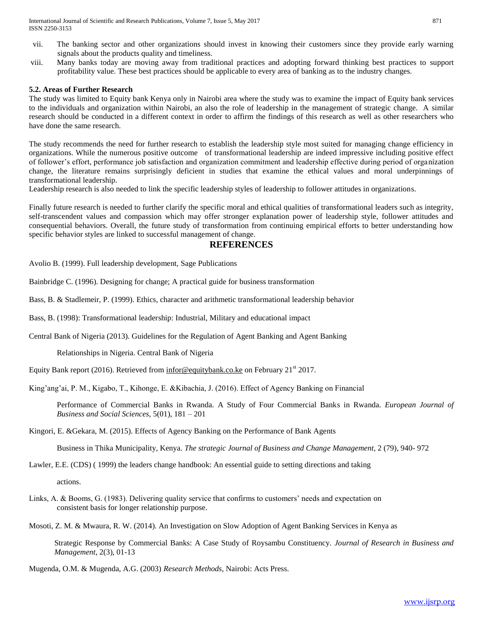International Journal of Scientific and Research Publications, Volume 7, Issue 5, May 2017 871 ISSN 2250-3153

- vii. The banking sector and other organizations should invest in knowing their customers since they provide early warning signals about the products quality and timeliness.
- viii. Many banks today are moving away from traditional practices and adopting forward thinking best practices to support profitability value. These best practices should be applicable to every area of banking as to the industry changes.

#### **5.2. Areas of Further Research**

The study was limited to Equity bank Kenya only in Nairobi area where the study was to examine the impact of Equity bank services to the individuals and organization within Nairobi, an also the role of leadership in the management of strategic change. A similar research should be conducted in a different context in order to affirm the findings of this research as well as other researchers who have done the same research.

The study recommends the need for further research to establish the leadership style most suited for managing change efficiency in organizations. While the numerous positive outcome of transformational leadership are indeed impressive including positive effect of follower's effort, performance job satisfaction and organization commitment and leadership effective during period of organization change, the literature remains surprisingly deficient in studies that examine the ethical values and moral underpinnings of transformational leadership.

Leadership research is also needed to link the specific leadership styles of leadership to follower attitudes in organizations.

Finally future research is needed to further clarify the specific moral and ethical qualities of transformational leaders such as integrity, self-transcendent values and compassion which may offer stronger explanation power of leadership style, follower attitudes and consequential behaviors. Overall, the future study of transformation from continuing empirical efforts to better understanding how specific behavior styles are linked to successful management of change.

#### **REFERENCES**

Avolio B. (1999). Full leadership development, Sage Publications

Bainbridge C. (1996). Designing for change; A practical guide for business transformation

Bass, B. & Stadlemeir, P. (1999). Ethics, character and arithmetic transformational leadership behavior

Bass, B. (1998): Transformational leadership: Industrial, Military and educational impact

Central Bank of Nigeria (2013). Guidelines for the Regulation of Agent Banking and Agent Banking

Relationships in Nigeria. Central Bank of Nigeria

Equity Bank report (2016). Retrieved from [infor@equitybank.co.ke](mailto:infor@equitybank.co.ke) on February 21<sup>st</sup> 2017.

King'ang'ai, P. M., Kigabo, T., Kihonge, E. &Kibachia, J. (2016). Effect of Agency Banking on Financial

Performance of Commercial Banks in Rwanda. A Study of Four Commercial Banks in Rwanda. *European Journal of Business and Social Sciences,* 5(01), 181 – 201

Kingori, E. &Gekara, M. (2015). Effects of Agency Banking on the Performance of Bank Agents

Business in Thika Municipality, Kenya. *The strategic Journal of Business and Change Management,* 2 (79), 940- 972

Lawler, E.E. (CDS) ( 1999) the leaders change handbook: An essential guide to setting directions and taking

actions.

Links, A. & Booms, G. (1983). Delivering quality service that confirms to customers' needs and expectation on consistent basis for longer relationship purpose.

Mosoti, Z. M. & Mwaura, R. W. (2014). An Investigation on Slow Adoption of Agent Banking Services in Kenya as

Strategic Response by Commercial Banks: A Case Study of Roysambu Constituency. *Journal of Research in Business and Management*, 2(3), 01-13

Mugenda, O.M. & Mugenda, A.G. (2003) *Research Methods*, Nairobi: Acts Press.